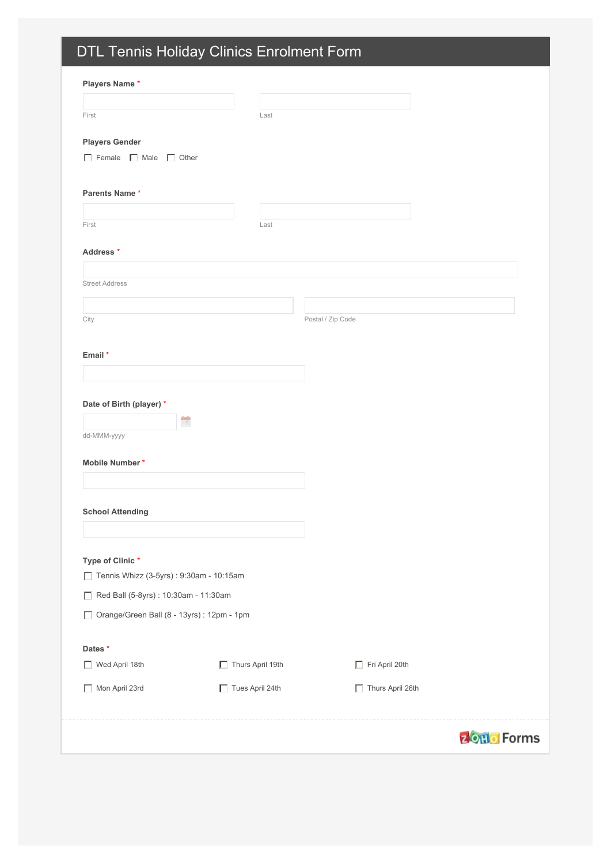# DTL Tennis Holiday Clinics Enrolment Form

| <b>Players Name*</b>     |                   |  |
|--------------------------|-------------------|--|
|                          |                   |  |
| First                    | Last              |  |
| <b>Players Gender</b>    |                   |  |
| Female Male Other        |                   |  |
|                          |                   |  |
| <b>Parents Name*</b>     |                   |  |
| First                    | Last              |  |
|                          |                   |  |
| Address *                |                   |  |
| <b>Street Address</b>    |                   |  |
|                          |                   |  |
| City                     | Postal / Zip Code |  |
|                          |                   |  |
| Email *                  |                   |  |
|                          |                   |  |
|                          |                   |  |
| Date of Birth (player) * |                   |  |
| E<br>dd-MMM-yyyy         |                   |  |
|                          |                   |  |
| Mobile Number*           |                   |  |
|                          |                   |  |
|                          |                   |  |
| <b>School Attending</b>  |                   |  |
|                          |                   |  |
|                          |                   |  |

**Type of Clinic** \*

| Tennis Whizz (3-5yrs): 9:30am - 10:15am<br>$\mathsf{L}$ |                                              |                                |              |  |  |
|---------------------------------------------------------|----------------------------------------------|--------------------------------|--------------|--|--|
|                                                         | Red Ball (5-8yrs): $10:30$ am - 11:30am      |                                |              |  |  |
|                                                         | □ Orange/Green Ball (8 - 13yrs) : 12pm - 1pm |                                |              |  |  |
|                                                         |                                              |                                |              |  |  |
| Dates *                                                 |                                              |                                |              |  |  |
| Wed April 18th<br>U                                     | Thurs April 19th                             | Fri April 20th<br>$\mathbf{L}$ |              |  |  |
| Mon April 23rd<br>H                                     | $\Box$ Tues April 24th                       | Thurs April 26th<br>L          |              |  |  |
|                                                         |                                              |                                | <b>Forms</b> |  |  |